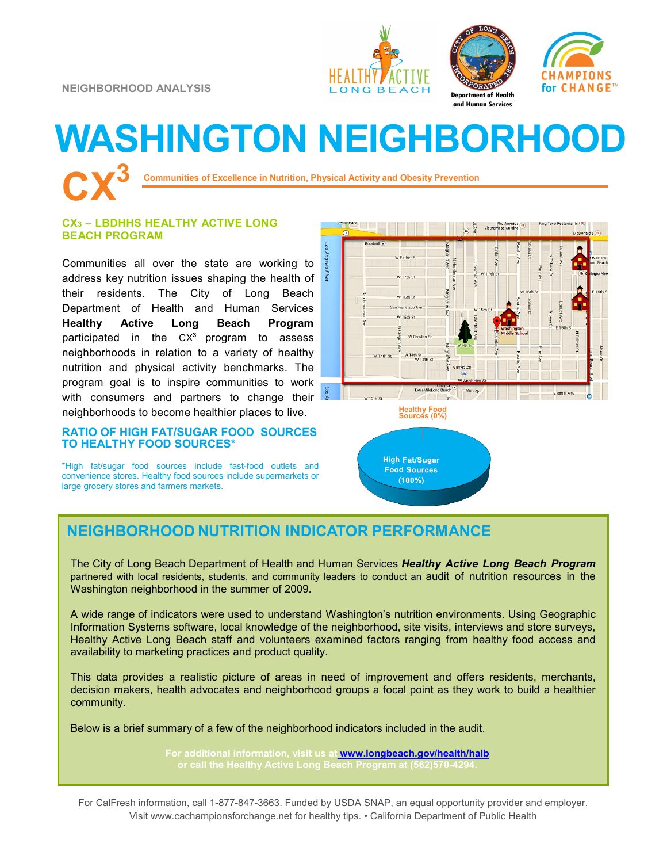





# **WASHINGTON NEIGHBORHOOD**

**Communities of Excellence in Nutrition, Physical Activity and Obesity Prevention** 

### **CX<sup>3</sup> – LBDHHS HEALTHY ACTIVE LONG BEACH PROGRAM**

Communities all over the state are working to address key nutrition issues shaping the health of their residents. The City of Long Beach Department of Health and Human Services **Healthy Active Long Beach Program**  participated in the CX<sup>3</sup> program to assess neighborhoods in relation to a variety of healthy nutrition and physical activity benchmarks. The program goal is to inspire communities to work with consumers and partners to change their neighborhoods to become healthier places to live.

### **RATIO OF HIGH FAT/SUGAR FOOD SOURCES TO HEALTHY FOOD SOURCES\***

\*High fat/sugar food sources include fast-food outlets and convenience stores. Healthy food sources include supermarkets or large grocery stores and farmers markets.



 $(100%)$ 

## **NEIGHBORHOOD NUTRITION INDICATOR PERFORMANCE**

The City of Long Beach Department of Health and Human Services *Healthy Active Long Beach Program*  partnered with local residents, students, and community leaders to conduct an audit of nutrition resources in the Washington neighborhood in the summer of 2009.

A wide range of indicators were used to understand Washington's nutrition environments. Using Geographic Information Systems software, local knowledge of the neighborhood, site visits, interviews and store surveys, Healthy Active Long Beach staff and volunteers examined factors ranging from healthy food access and availability to marketing practices and product quality.

This data provides a realistic picture of areas in need of improvement and offers residents, merchants, decision makers, health advocates and neighborhood groups a focal point as they work to build a healthier community.

Below is a brief summary of a few of the neighborhood indicators included in the audit.

**For additional information, visit us at [www.longbeach.gov/health/halb](http://%20www.longbeach.gov/health%20)**

For CalFresh information, call 1-877-847-3663. Funded by USDA SNAP, an equal opportunity provider and employer. Visit www.cachampionsforchange.net for healthy tips. • California Department of Public Health